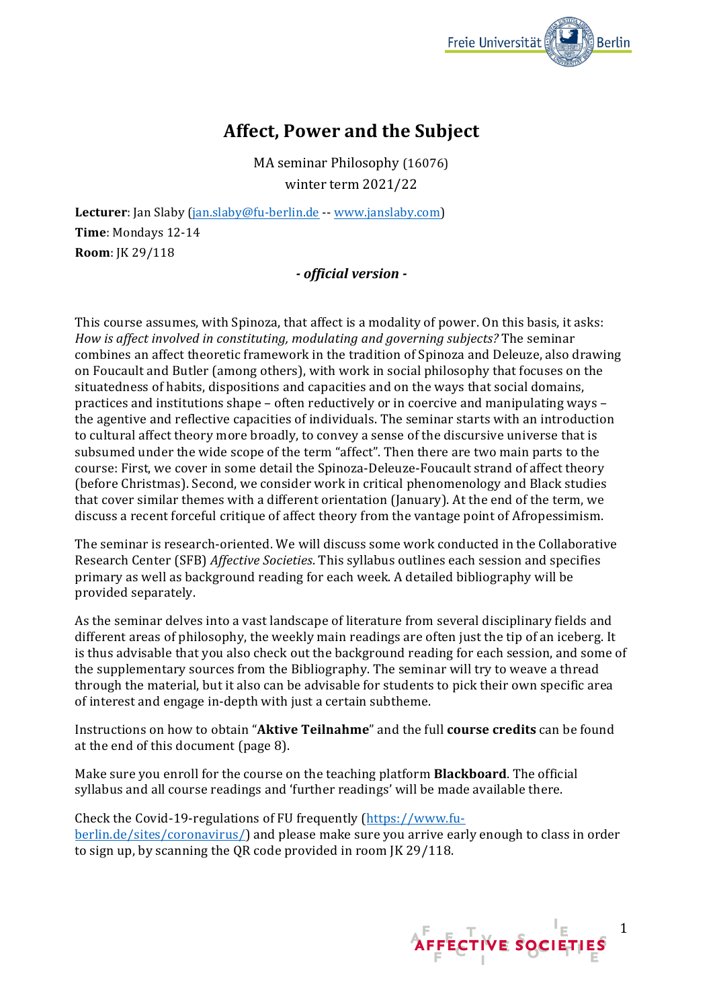

# **Affect, Power and the Subject**

MA seminar Philosophy (16076) winter term 2021/22

**Lecturer**: Jan Slaby (jan.slaby@fu-berlin.de -- www.janslaby.com) **Time**: Mondays 12-14 **Room**: JK 29/118

# *- official version -*

This course assumes, with Spinoza, that affect is a modality of power. On this basis, it asks: *How is affect involved in constituting, modulating and governing subjects?* The seminar combines an affect theoretic framework in the tradition of Spinoza and Deleuze, also drawing on Foucault and Butler (among others), with work in social philosophy that focuses on the situatedness of habits, dispositions and capacities and on the ways that social domains, practices and institutions shape – often reductively or in coercive and manipulating ways – the agentive and reflective capacities of individuals. The seminar starts with an introduction to cultural affect theory more broadly, to convey a sense of the discursive universe that is subsumed under the wide scope of the term "affect". Then there are two main parts to the course: First, we cover in some detail the Spinoza-Deleuze-Foucault strand of affect theory (before Christmas). Second, we consider work in critical phenomenology and Black studies that cover similar themes with a different orientation (January). At the end of the term, we discuss a recent forceful critique of affect theory from the vantage point of Afropessimism.

The seminar is research-oriented. We will discuss some work conducted in the Collaborative Research Center (SFB) *Affective Societies*. This syllabus outlines each session and specifies primary as well as background reading for each week. A detailed bibliography will be provided separately.

As the seminar delves into a vast landscape of literature from several disciplinary fields and different areas of philosophy, the weekly main readings are often just the tip of an iceberg. It is thus advisable that you also check out the background reading for each session, and some of the supplementary sources from the Bibliography. The seminar will try to weave a thread through the material, but it also can be advisable for students to pick their own specific area of interest and engage in-depth with just a certain subtheme.

Instructions on how to obtain "**Aktive Teilnahme**" and the full **course credits** can be found at the end of this document (page 8).

Make sure you enroll for the course on the teaching platform **Blackboard**. The official syllabus and all course readings and 'further readings' will be made available there.

Check the Covid-19-regulations of FU frequently (https://www.fuberlin.de/sites/coronavirus/) and please make sure you arrive early enough to class in order to sign up, by scanning the QR code provided in room  $K 29/118$ .

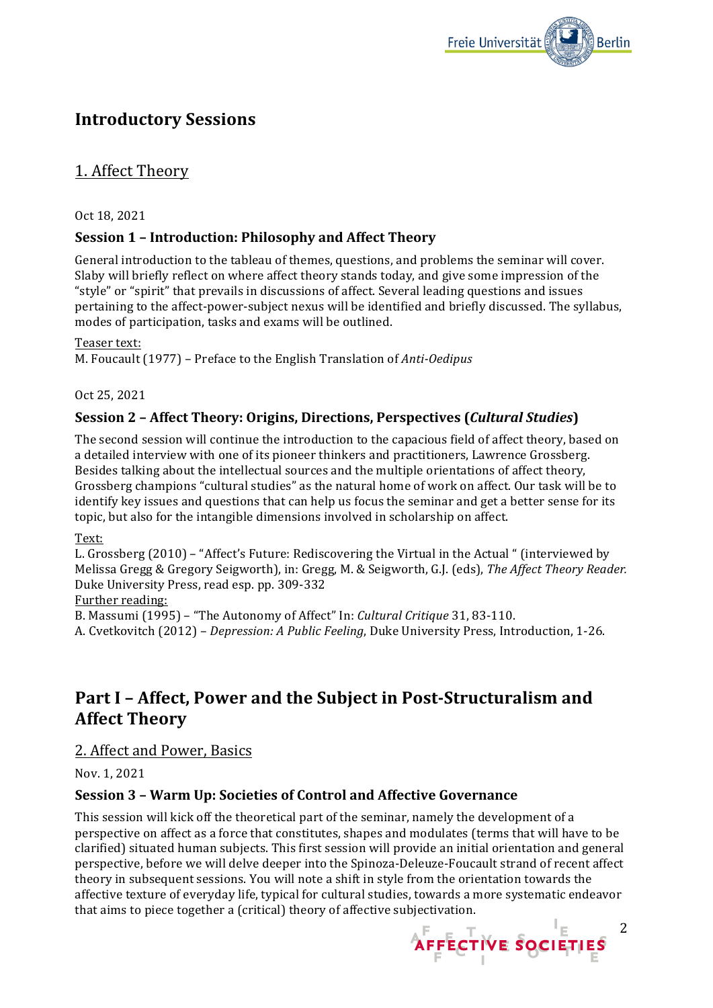

# **Introductory Sessions**

# 1. Affect Theory

### Oct 18, 2021

# **Session 1 - Introduction: Philosophy and Affect Theory**

General introduction to the tableau of themes, questions, and problems the seminar will cover. Slaby will briefly reflect on where affect theory stands today, and give some impression of the "style" or "spirit" that prevails in discussions of affect. Several leading questions and issues pertaining to the affect-power-subject nexus will be identified and briefly discussed. The syllabus, modes of participation, tasks and exams will be outlined.

#### Teaser text:

M. Foucault (1977) – Preface to the English Translation of *Anti-Oedipus* 

### Oct 25, 2021

# **Session 2 - Affect Theory: Origins, Directions, Perspectives (***Cultural Studies***)**

The second session will continue the introduction to the capacious field of affect theory, based on a detailed interview with one of its pioneer thinkers and practitioners, Lawrence Grossberg. Besides talking about the intellectual sources and the multiple orientations of affect theory, Grossberg champions "cultural studies" as the natural home of work on affect. Our task will be to identify key issues and questions that can help us focus the seminar and get a better sense for its topic, but also for the intangible dimensions involved in scholarship on affect.

### Text:

L. Grossberg  $(2010)$  – "Affect's Future: Rediscovering the Virtual in the Actual " (interviewed by Melissa Gregg & Gregory Seigworth), in: Gregg, M. & Seigworth, G.J. (eds), The Affect Theory Reader. Duke University Press, read esp. pp. 309-332

#### Further reading:

B. Massumi (1995) - "The Autonomy of Affect" In: *Cultural Critique* 31, 83-110.

A. Cvetkovitch (2012) – *Depression: A Public Feeling*, Duke University Press, Introduction, 1-26.

# **Part I - Affect, Power and the Subject in Post-Structuralism and Affect Theory**

# 2. Affect and Power, Basics

Nov. 1, 2021

# **Session 3 - Warm Up: Societies of Control and Affective Governance**

This session will kick off the theoretical part of the seminar, namely the development of a perspective on affect as a force that constitutes, shapes and modulates (terms that will have to be clarified) situated human subjects. This first session will provide an initial orientation and general perspective, before we will delve deeper into the Spinoza-Deleuze-Foucault strand of recent affect theory in subsequent sessions. You will note a shift in style from the orientation towards the affective texture of everyday life, typical for cultural studies, towards a more systematic endeavor that aims to piece together a (critical) theory of affective subjectivation.

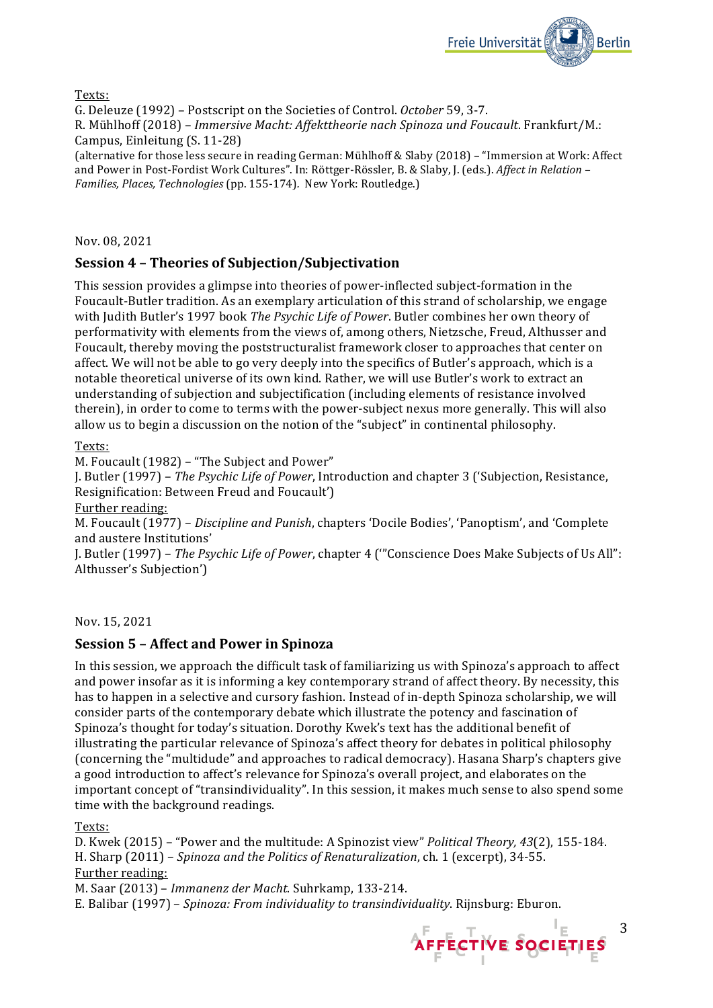

Texts:

G. Deleuze (1992) – Postscript on the Societies of Control. October 59, 3-7.

R. Mühlhoff (2018) – *Immersive Macht: Affekttheorie nach Spinoza und Foucault*. Frankfurt/M.: Campus, Einleitung (S. 11-28)

(alternative for those less secure in reading German: Mühlhoff & Slaby (2018) – "Immersion at Work: Affect and Power in Post-Fordist Work Cultures". In: Röttger-Rössler, B. & Slaby, J. (eds.). *Affect in Relation* -*Families, Places, Technologies* (pp. 155-174). New York: Routledge.)

Nov. 08, 2021

# **Session 4 - Theories of Subjection/Subjectivation**

This session provides a glimpse into theories of power-inflected subject-formation in the Foucault-Butler tradition. As an exemplary articulation of this strand of scholarship, we engage with Judith Butler's 1997 book *The Psychic Life of Power*. Butler combines her own theory of performativity with elements from the views of, among others, Nietzsche, Freud, Althusser and Foucault, thereby moving the poststructuralist framework closer to approaches that center on affect. We will not be able to go very deeply into the specifics of Butler's approach, which is a notable theoretical universe of its own kind. Rather, we will use Butler's work to extract an understanding of subjection and subjectification (including elements of resistance involved therein), in order to come to terms with the power-subject nexus more generally. This will also allow us to begin a discussion on the notion of the "subject" in continental philosophy.

Texts:

M. Foucault (1982) – "The Subject and Power"

J. Butler (1997) – *The Psychic Life of Power*, Introduction and chapter 3 ('Subjection, Resistance, Resignification: Between Freud and Foucault')

Further reading:

M. Foucault (1977) – *Discipline and Punish*, chapters 'Docile Bodies', 'Panoptism', and 'Complete and austere Institutions'

J. Butler (1997) - The Psychic Life of Power, chapter 4 ("Conscience Does Make Subjects of Us All": Althusser's Subjection')

Nov. 15, 2021

### **Session 5 - Affect and Power in Spinoza**

In this session, we approach the difficult task of familiarizing us with Spinoza's approach to affect and power insofar as it is informing a key contemporary strand of affect theory. By necessity, this has to happen in a selective and cursory fashion. Instead of in-depth Spinoza scholarship, we will consider parts of the contemporary debate which illustrate the potency and fascination of Spinoza's thought for today's situation. Dorothy Kwek's text has the additional benefit of illustrating the particular relevance of Spinoza's affect theory for debates in political philosophy (concerning the "multidude" and approaches to radical democracy). Hasana Sharp's chapters give a good introduction to affect's relevance for Spinoza's overall project, and elaborates on the important concept of "transindividuality". In this session, it makes much sense to also spend some time with the background readings.

Texts:

D. Kwek (2015) – "Power and the multitude: A Spinozist view" *Political Theory, 43*(2), 155-184. H. Sharp (2011) - *Spinoza and the Politics of Renaturalization*, ch. 1 (excerpt), 34-55. Further reading:

M. Saar (2013) – *Immanenz der Macht*. Suhrkamp, 133-214.

E. Balibar (1997) – *Spinoza: From individuality to transindividuality*. Rijnsburg: Eburon.

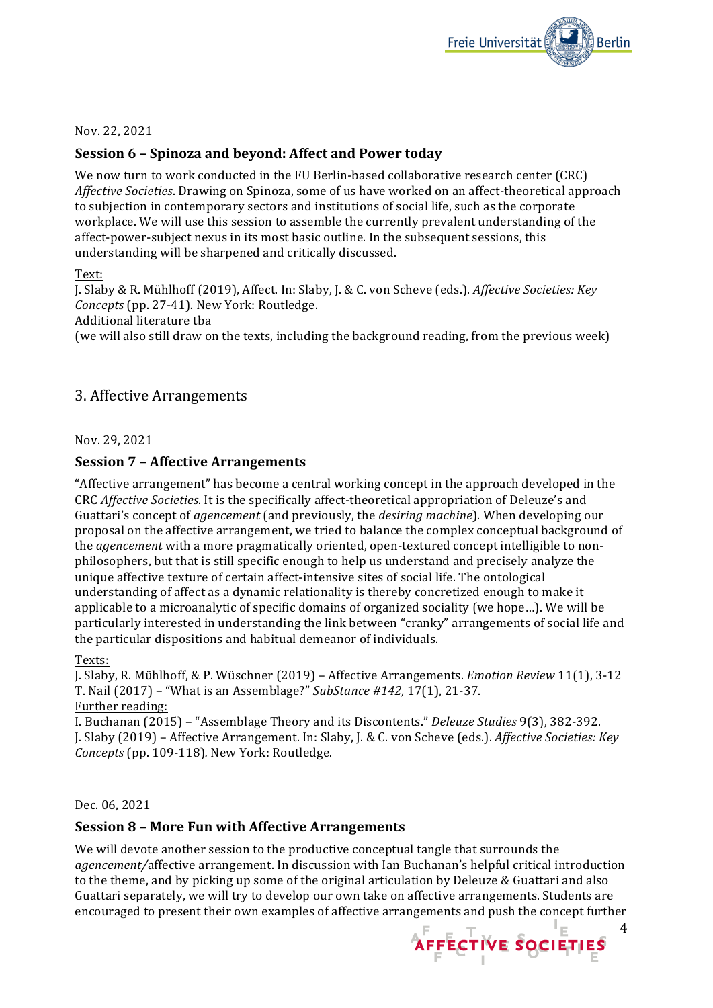

#### Nov. 22, 2021

### **Session 6 - Spinoza and beyond: Affect and Power today**

We now turn to work conducted in the FU Berlin-based collaborative research center (CRC) *Affective Societies*. Drawing on Spinoza, some of us have worked on an affect-theoretical approach to subjection in contemporary sectors and institutions of social life, such as the corporate workplace. We will use this session to assemble the currently prevalent understanding of the affect-power-subject nexus in its most basic outline. In the subsequent sessions, this understanding will be sharpened and critically discussed.

#### Text:

J. Slaby & R. Mühlhoff (2019), Affect. In: Slaby, J. & C. von Scheve (eds.). Affective Societies: Key *Concepts* (pp. 27-41). New York: Routledge. Additional literature tba (we will also still draw on the texts, including the background reading, from the previous week)

# **3. Affective Arrangements**

Nov. 29, 2021

### **Session 7 - Affective Arrangements**

"Affective arrangement" has become a central working concept in the approach developed in the CRC *Affective Societies*. It is the specifically affect-theoretical appropriation of Deleuze's and Guattari's concept of *agencement* (and previously, the *desiring machine*). When developing our proposal on the affective arrangement, we tried to balance the complex conceptual background of the *agencement* with a more pragmatically oriented, open-textured concept intelligible to nonphilosophers, but that is still specific enough to help us understand and precisely analyze the unique affective texture of certain affect-intensive sites of social life. The ontological understanding of affect as a dynamic relationality is thereby concretized enough to make it applicable to a microanalytic of specific domains of organized sociality (we hope...). We will be particularly interested in understanding the link between "cranky" arrangements of social life and the particular dispositions and habitual demeanor of individuals.

Texts:

J. Slaby, R. Mühlhoff, & P. Wüschner (2019) – Affective Arrangements. *Emotion Review* 11(1), 3-12 T. Nail (2017) – "What is an Assemblage?" *SubStance* #142, 17(1), 21-37. Further reading:

I. Buchanan (2015) – "Assemblage Theory and its Discontents." *Deleuze Studies* 9(3), 382-392. J. Slaby (2019) – Affective Arrangement. In: Slaby, J. & C. von Scheve (eds.). *Affective Societies: Key Concepts* (pp. 109-118). New York: Routledge.

Dec. 06, 2021

### **Session 8 - More Fun with Affective Arrangements**

We will devote another session to the productive conceptual tangle that surrounds the *agencement*/affective arrangement. In discussion with Ian Buchanan's helpful critical introduction to the theme, and by picking up some of the original articulation by Deleuze & Guattari and also Guattari separately, we will try to develop our own take on affective arrangements. Students are encouraged to present their own examples of affective arrangements and push the concept further

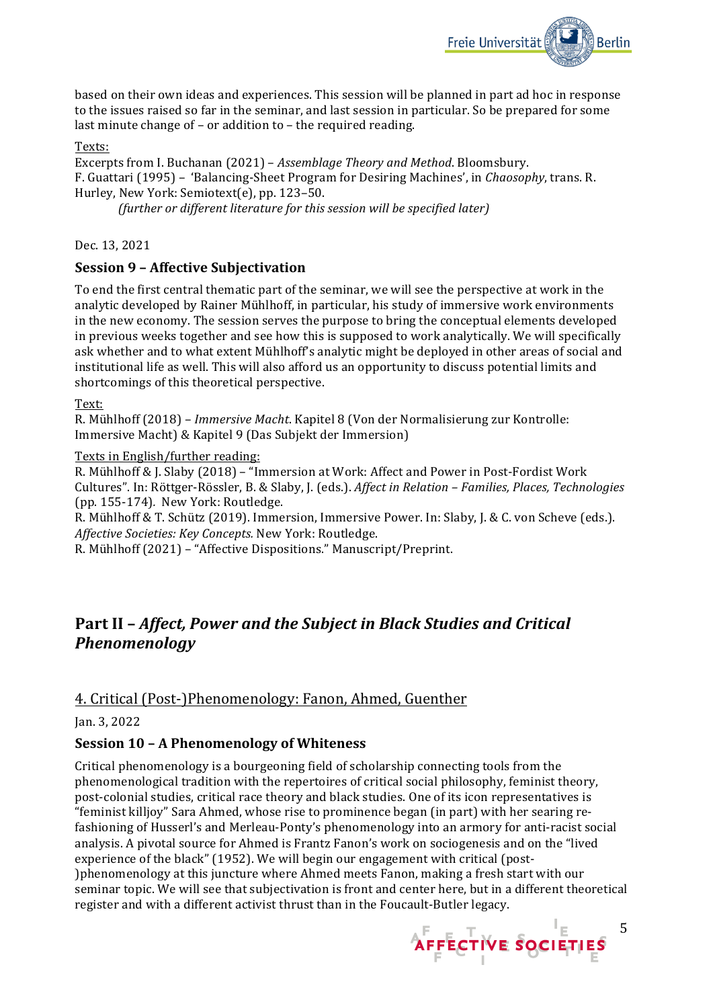

based on their own ideas and experiences. This session will be planned in part ad hoc in response to the issues raised so far in the seminar, and last session in particular. So be prepared for some last minute change of  $-$  or addition to  $-$  the required reading.

#### Texts:

Excerpts from I. Buchanan (2021) – *Assemblage Theory and Method*. Bloomsbury. F. Guattari (1995) – 'Balancing-Sheet Program for Desiring Machines', in *Chaosophy*, trans. R. Hurley, New York: Semiotext(e), pp. 123-50.

*(further or different literature for this session will be specified later)*

Dec. 13, 2021

### **Session 9 - Affective Subjectivation**

To end the first central thematic part of the seminar, we will see the perspective at work in the analytic developed by Rainer Mühlhoff, in particular, his study of immersive work environments in the new economy. The session serves the purpose to bring the conceptual elements developed in previous weeks together and see how this is supposed to work analytically. We will specifically ask whether and to what extent Mühlhoff's analytic might be deployed in other areas of social and institutional life as well. This will also afford us an opportunity to discuss potential limits and shortcomings of this theoretical perspective.

Text:

R. Mühlhoff (2018) – *Immersive Macht*. Kapitel 8 (Von der Normalisierung zur Kontrolle: Immersive Macht) & Kapitel 9 (Das Subjekt der Immersion)

#### Texts in English/further reading:

R. Mühlhoff & J. Slaby (2018) - "Immersion at Work: Affect and Power in Post-Fordist Work Cultures". In: Röttger-Rössler, B. & Slaby, J. (eds.). *Affect in Relation – Families, Places, Technologies* (pp. 155-174)*.*  New York: Routledge.

R. Mühlhoff & T. Schütz (2019). Immersion, Immersive Power. In: Slaby, J. & C. von Scheve (eds.). *Affective Societies: Key Concepts.* New York: Routledge.

R. Mühlhoff (2021) - "Affective Dispositions." Manuscript/Preprint.

# **Part II -** *Affect, Power and the Subiect in Black Studies and Critical Phenomenology*

# 4. Critical (Post-)Phenomenology: Fanon, Ahmed, Guenther

Jan. 3, 2022

### **Session 10 - A Phenomenology of Whiteness**

Critical phenomenology is a bourgeoning field of scholarship connecting tools from the phenomenological tradition with the repertoires of critical social philosophy, feminist theory, post-colonial studies, critical race theory and black studies. One of its icon representatives is "feminist killjoy" Sara Ahmed, whose rise to prominence began (in part) with her searing refashioning of Husserl's and Merleau-Ponty's phenomenology into an armory for anti-racist social analysis. A pivotal source for Ahmed is Frantz Fanon's work on sociogenesis and on the "lived experience of the black" (1952). We will begin our engagement with critical (post-Iphenomenology at this juncture where Ahmed meets Fanon, making a fresh start with our seminar topic. We will see that subjectivation is front and center here, but in a different theoretical register and with a different activist thrust than in the Foucault-Butler legacy.

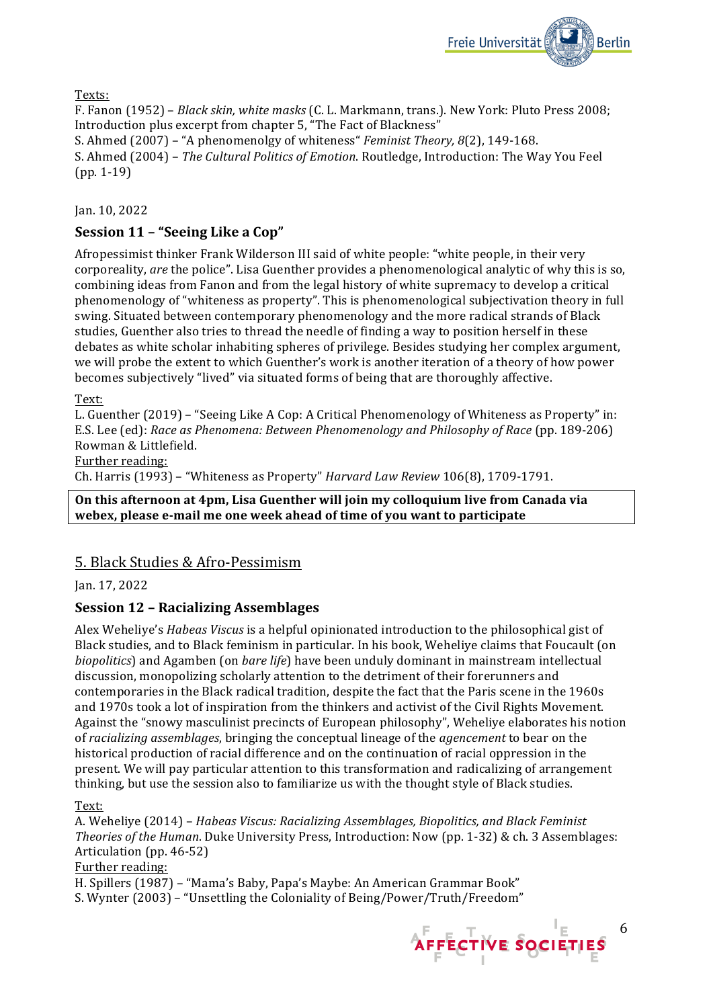

Texts:

F. Fanon (1952) – *Black skin, white masks* (C. L. Markmann, trans.). New York: Pluto Press 2008; Introduction plus excerpt from chapter 5, "The Fact of Blackness"

S. Ahmed (2007) – "A phenomenolgy of whiteness" *Feminist Theory, 8*(2), 149-168. S. Ahmed (2004) - The Cultural Politics of Emotion. Routledge, Introduction: The Way You Feel  $(pp. 1-19)$ 

Jan. 10, 2022

# Session 11 - "Seeing Like a Cop"

Afropessimist thinker Frank Wilderson III said of white people: "white people, in their very corporeality, *are* the police". Lisa Guenther provides a phenomenological analytic of why this is so, combining ideas from Fanon and from the legal history of white supremacy to develop a critical phenomenology of "whiteness as property". This is phenomenological subjectivation theory in full swing. Situated between contemporary phenomenology and the more radical strands of Black studies, Guenther also tries to thread the needle of finding a way to position herself in these debates as white scholar inhabiting spheres of privilege. Besides studying her complex argument, we will probe the extent to which Guenther's work is another iteration of a theory of how power becomes subjectively "lived" via situated forms of being that are thoroughly affective.

### Text:

L. Guenther (2019) – "Seeing Like A Cop: A Critical Phenomenology of Whiteness as Property" in: E.S. Lee (ed): *Race as Phenomena: Between Phenomenology and Philosophy of Race* (pp. 189-206) Rowman & Littlefield.

Further reading:

Ch. Harris (1993) – "Whiteness as Property" *Harvard Law Review* 106(8), 1709-1791.

#### **On this afternoon at 4pm, Lisa Guenther will join my colloquium live from Canada via** webex, please e-mail me one week ahead of time of you want to participate

# 5. Black Studies & Afro-Pessimism

Jan. 17, 2022

# **Session 12 – Racializing Assemblages**

Alex Weheliye's *Habeas Viscus* is a helpful opinionated introduction to the philosophical gist of Black studies, and to Black feminism in particular. In his book, Weheliye claims that Foucault (on *biopolitics*) and Agamben (on *bare life*) have been unduly dominant in mainstream intellectual discussion, monopolizing scholarly attention to the detriment of their forerunners and contemporaries in the Black radical tradition, despite the fact that the Paris scene in the 1960s and 1970s took a lot of inspiration from the thinkers and activist of the Civil Rights Movement. Against the "snowy masculinist precincts of European philosophy", Weheliye elaborates his notion of *racializing* assemblages, bringing the conceptual lineage of the *agencement* to bear on the historical production of racial difference and on the continuation of racial oppression in the present. We will pay particular attention to this transformation and radicalizing of arrangement thinking, but use the session also to familiarize us with the thought style of Black studies.

Text:

A. Weheliye (2014) – *Habeas Viscus: Racializing Assemblages, Biopolitics, and Black Feminist Theories of the Human*. Duke University Press, Introduction: Now (pp. 1-32) & ch. 3 Assemblages: Articulation (pp. 46-52)

### Further reading:

H. Spillers (1987) – "Mama's Baby, Papa's Maybe: An American Grammar Book"

S. Wynter (2003) – "Unsettling the Coloniality of Being/Power/Truth/Freedom"

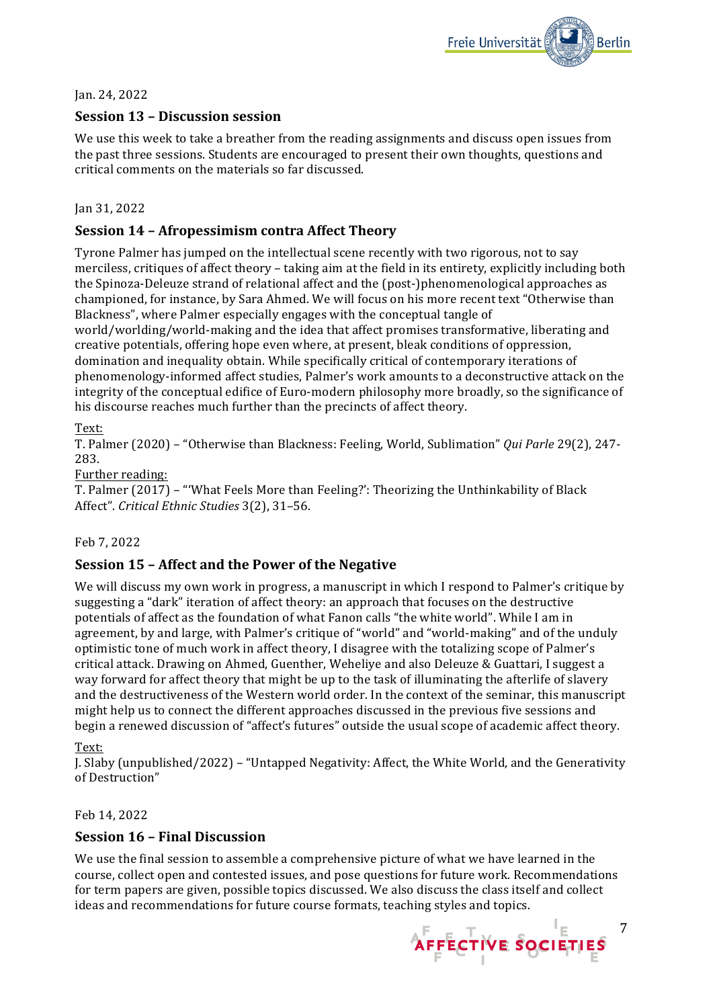

Jan. 24, 2022

# **Session 13 - Discussion session**

We use this week to take a breather from the reading assignments and discuss open issues from the past three sessions. Students are encouraged to present their own thoughts, questions and critical comments on the materials so far discussed.

### Jan 31, 2022

# **Session 14 - Afropessimism contra Affect Theory**

Tyrone Palmer has jumped on the intellectual scene recently with two rigorous, not to say merciless, critiques of affect theory – taking aim at the field in its entirety, explicitly including both the Spinoza-Deleuze strand of relational affect and the (post-)phenomenological approaches as championed, for instance, by Sara Ahmed. We will focus on his more recent text "Otherwise than Blackness", where Palmer especially engages with the conceptual tangle of world/worlding/world-making and the idea that affect promises transformative, liberating and creative potentials, offering hope even where, at present, bleak conditions of oppression, domination and inequality obtain. While specifically critical of contemporary iterations of phenomenology-informed affect studies, Palmer's work amounts to a deconstructive attack on the integrity of the conceptual edifice of Euro-modern philosophy more broadly, so the significance of his discourse reaches much further than the precincts of affect theory.

### Text:

T. Palmer (2020) – "Otherwise than Blackness: Feeling, World, Sublimation" *Qui Parle* 29(2), 247- 283.

### Further reading:

T. Palmer (2017) - "'What Feels More than Feeling?': Theorizing the Unthinkability of Black Affect". Critical Ethnic Studies 3(2), 31-56.

### Feb 7, 2022

# **Session 15 - Affect and the Power of the Negative**

We will discuss my own work in progress, a manuscript in which I respond to Palmer's critique by suggesting a "dark" iteration of affect theory: an approach that focuses on the destructive potentials of affect as the foundation of what Fanon calls "the white world". While I am in agreement, by and large, with Palmer's critique of "world" and "world-making" and of the unduly optimistic tone of much work in affect theory, I disagree with the totalizing scope of Palmer's critical attack. Drawing on Ahmed, Guenther, Weheliye and also Deleuze & Guattari, I suggest a way forward for affect theory that might be up to the task of illuminating the afterlife of slavery and the destructiveness of the Western world order. In the context of the seminar, this manuscript might help us to connect the different approaches discussed in the previous five sessions and begin a renewed discussion of "affect's futures" outside the usual scope of academic affect theory.

### Text:

J. Slaby (unpublished/2022) – "Untapped Negativity: Affect, the White World, and the Generativity of Destruction"

### Feb 14, 2022

### **Session 16 – Final Discussion**

We use the final session to assemble a comprehensive picture of what we have learned in the course, collect open and contested issues, and pose questions for future work. Recommendations for term papers are given, possible topics discussed. We also discuss the class itself and collect ideas and recommendations for future course formats, teaching styles and topics.